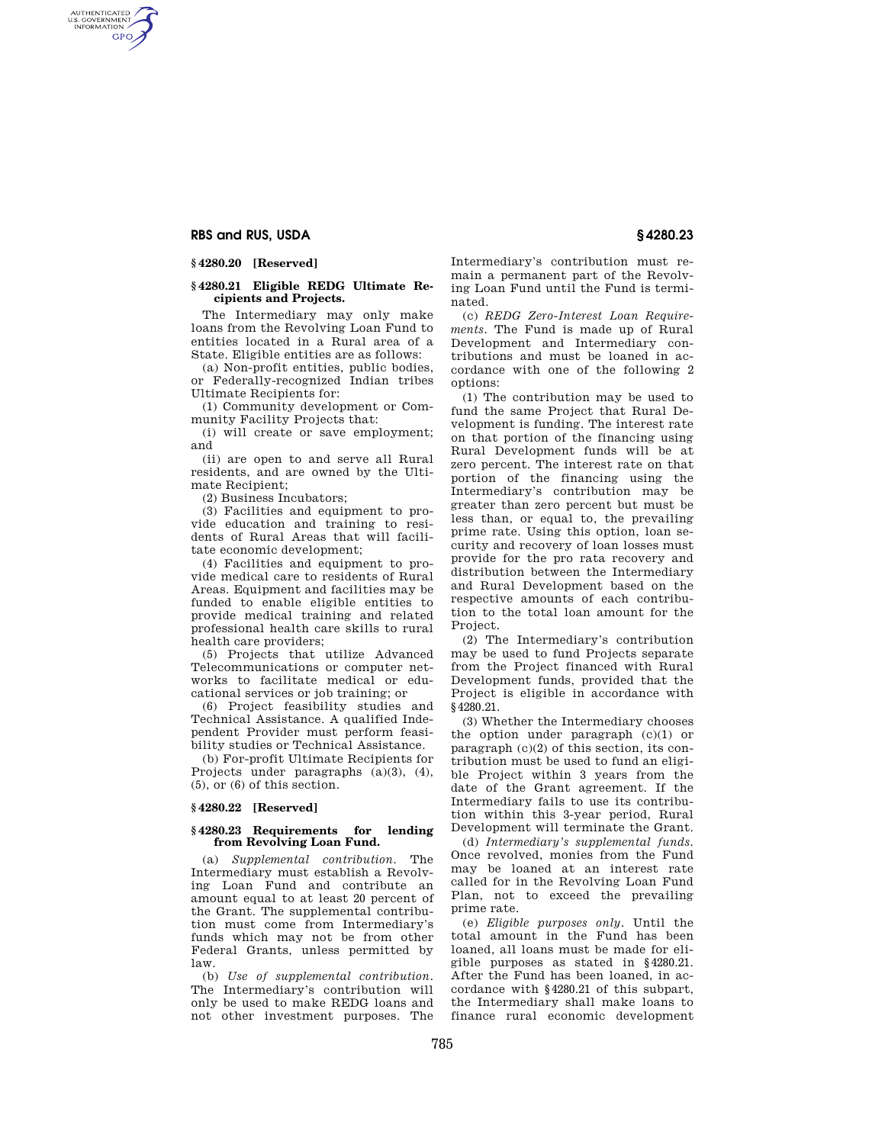# **RBS and RUS, USDA § 4280.23**

AUTHENTICATED<br>U.S. GOVERNMENT<br>INFORMATION **GPO** 

### **§ 4280.20 [Reserved]**

## **§ 4280.21 Eligible REDG Ultimate Recipients and Projects.**

The Intermediary may only make loans from the Revolving Loan Fund to entities located in a Rural area of a State. Eligible entities are as follows:

(a) Non-profit entities, public bodies, or Federally-recognized Indian tribes Ultimate Recipients for:

(1) Community development or Community Facility Projects that:

(i) will create or save employment; and

(ii) are open to and serve all Rural residents, and are owned by the Ultimate Recipient;

(2) Business Incubators;

(3) Facilities and equipment to provide education and training to residents of Rural Areas that will facilitate economic development;

(4) Facilities and equipment to provide medical care to residents of Rural Areas. Equipment and facilities may be funded to enable eligible entities to provide medical training and related professional health care skills to rural health care providers;

(5) Projects that utilize Advanced Telecommunications or computer networks to facilitate medical or educational services or job training; or

(6) Project feasibility studies and Technical Assistance. A qualified Independent Provider must perform feasibility studies or Technical Assistance.

(b) For-profit Ultimate Recipients for Projects under paragraphs (a)(3), (4), (5), or (6) of this section.

### **§ 4280.22 [Reserved]**

#### **§ 4280.23 Requirements for lending from Revolving Loan Fund.**

(a) *Supplemental contribution.* The Intermediary must establish a Revolving Loan Fund and contribute an amount equal to at least 20 percent of the Grant. The supplemental contribution must come from Intermediary's funds which may not be from other Federal Grants, unless permitted by law.

(b) *Use of supplemental contribution.*  The Intermediary's contribution will only be used to make REDG loans and not other investment purposes. The

Intermediary's contribution must remain a permanent part of the Revolving Loan Fund until the Fund is terminated.

(c) *REDG Zero-Interest Loan Requirements.* The Fund is made up of Rural Development and Intermediary contributions and must be loaned in accordance with one of the following 2 options:

(1) The contribution may be used to fund the same Project that Rural Development is funding. The interest rate on that portion of the financing using Rural Development funds will be at zero percent. The interest rate on that portion of the financing using the Intermediary's contribution may be greater than zero percent but must be less than, or equal to, the prevailing prime rate. Using this option, loan security and recovery of loan losses must provide for the pro rata recovery and distribution between the Intermediary and Rural Development based on the respective amounts of each contribution to the total loan amount for the Project.

(2) The Intermediary's contribution may be used to fund Projects separate from the Project financed with Rural Development funds, provided that the Project is eligible in accordance with §4280.21.

(3) Whether the Intermediary chooses the option under paragraph (c)(1) or paragraph (c)(2) of this section, its contribution must be used to fund an eligible Project within 3 years from the date of the Grant agreement. If the Intermediary fails to use its contribution within this 3-year period, Rural Development will terminate the Grant.

(d) *Intermediary's supplemental funds.*  Once revolved, monies from the Fund may be loaned at an interest rate called for in the Revolving Loan Fund Plan, not to exceed the prevailing prime rate.

(e) *Eligible purposes only.* Until the total amount in the Fund has been loaned, all loans must be made for eligible purposes as stated in §4280.21. After the Fund has been loaned, in accordance with §4280.21 of this subpart, the Intermediary shall make loans to finance rural economic development